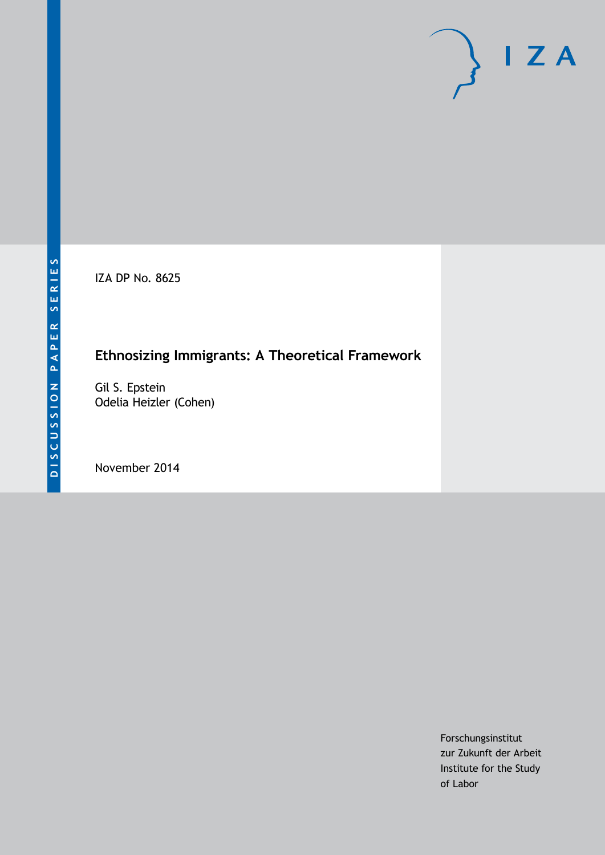IZA DP No. 8625

## **Ethnosizing Immigrants: A Theoretical Framework**

Gil S. Epstein Odelia Heizler (Cohen)

November 2014

Forschungsinstitut zur Zukunft der Arbeit Institute for the Study of Labor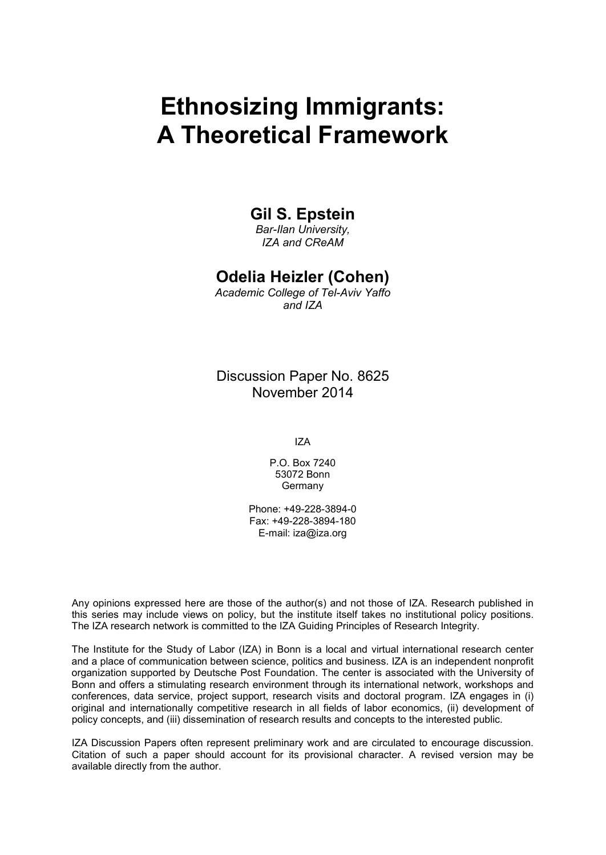# **Ethnosizing Immigrants: A Theoretical Framework**

### **Gil S. Epstein**

*Bar-Ilan University, IZA and CReAM*

### **Odelia Heizler (Cohen)**

*Academic College of Tel-Aviv Yaffo and IZA*

Discussion Paper No. 8625 November 2014

IZA

P.O. Box 7240 53072 Bonn **Germany** 

Phone: +49-228-3894-0 Fax: +49-228-3894-180 E-mail: [iza@iza.org](mailto:iza@iza.org)

Any opinions expressed here are those of the author(s) and not those of IZA. Research published in this series may include views on policy, but the institute itself takes no institutional policy positions. The IZA research network is committed to the IZA Guiding Principles of Research Integrity.

The Institute for the Study of Labor (IZA) in Bonn is a local and virtual international research center and a place of communication between science, politics and business. IZA is an independent nonprofit organization supported by Deutsche Post Foundation. The center is associated with the University of Bonn and offers a stimulating research environment through its international network, workshops and conferences, data service, project support, research visits and doctoral program. IZA engages in (i) original and internationally competitive research in all fields of labor economics, (ii) development of policy concepts, and (iii) dissemination of research results and concepts to the interested public.

IZA Discussion Papers often represent preliminary work and are circulated to encourage discussion. Citation of such a paper should account for its provisional character. A revised version may be available directly from the author.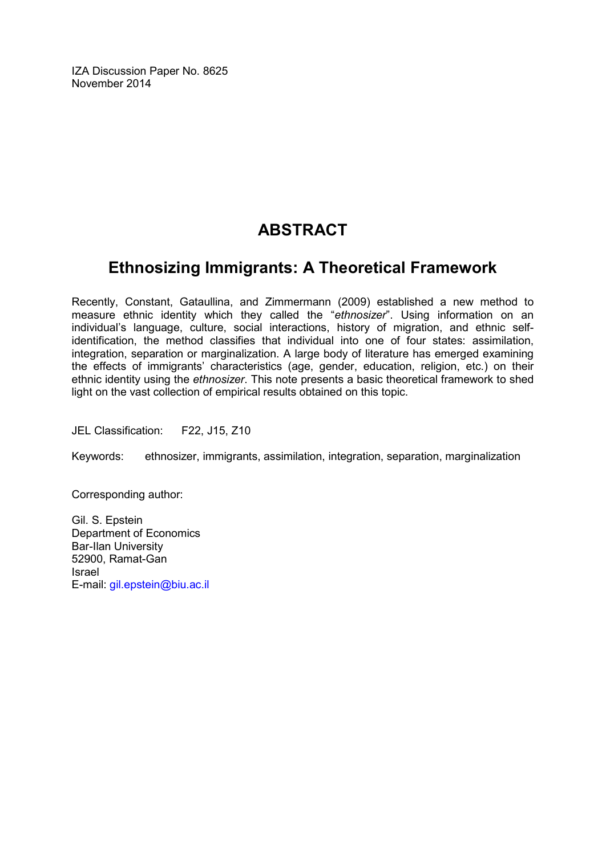IZA Discussion Paper No. 8625 November 2014

## **ABSTRACT**

### **Ethnosizing Immigrants: A Theoretical Framework**

Recently, Constant, Gataullina, and Zimmermann (2009) established a new method to measure ethnic identity which they called the "*ethnosizer*". Using information on an individual's language, culture, social interactions, history of migration, and ethnic selfidentification, the method classifies that individual into one of four states: assimilation, integration, separation or marginalization. A large body of literature has emerged examining the effects of immigrants' characteristics (age, gender, education, religion, etc.) on their ethnic identity using the *ethnosizer*. This note presents a basic theoretical framework to shed light on the vast collection of empirical results obtained on this topic.

JEL Classification: F22, J15, Z10

Keywords: ethnosizer, immigrants, assimilation, integration, separation, marginalization

Corresponding author:

Gil. S. Epstein Department of Economics Bar-Ilan University 52900, Ramat-Gan Israel E-mail: [gil.epstein@biu.ac.il](mailto:gil.epstein@biu.ac.il)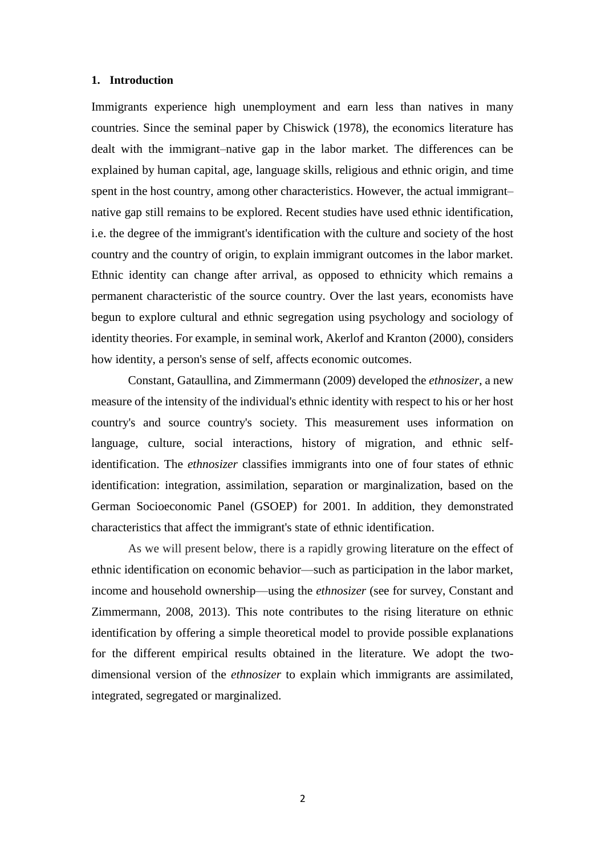#### **1. Introduction**

Immigrants experience high unemployment and earn less than natives in many countries. Since the seminal paper by Chiswick (1978), the economics literature has dealt with the immigrant–native gap in the labor market. The differences can be explained by human capital, age, language skills, religious and ethnic origin, and time spent in the host country, among other characteristics. However, the actual immigrant– native gap still remains to be explored. Recent studies have used ethnic identification, i.e. the degree of the immigrant's identification with the culture and society of the host country and the country of origin, to explain immigrant outcomes in the labor market. Ethnic identity can change after arrival, as opposed to ethnicity which remains a permanent characteristic of the source country. Over the last years, economists have begun to explore cultural and ethnic segregation using psychology and sociology of identity theories. For example, in seminal work, Akerlof and Kranton (2000), considers how identity, a person's sense of self, affects economic outcomes.

Constant, Gataullina, and Zimmermann (2009) developed the *ethnosizer*, a new measure of the intensity of the individual's ethnic identity with respect to his or her host country's and source country's society. This measurement uses information on language, culture, social interactions, history of migration, and ethnic selfidentification. The *ethnosizer* classifies immigrants into one of four states of ethnic identification: integration, assimilation, separation or marginalization, based on the German Socioeconomic Panel (GSOEP) for 2001. In addition, they demonstrated characteristics that affect the immigrant's state of ethnic identification.

As we will present below, there is a rapidly growing literature on the effect of ethnic identification on economic behavior—such as participation in the labor market, income and household ownership—using the *ethnosizer* (see for survey, Constant and Zimmermann, 2008, 2013). This note contributes to the rising literature on ethnic identification by offering a simple theoretical model to provide possible explanations for the different empirical results obtained in the literature. We adopt the twodimensional version of the *ethnosizer* to explain which immigrants are assimilated, integrated, segregated or marginalized.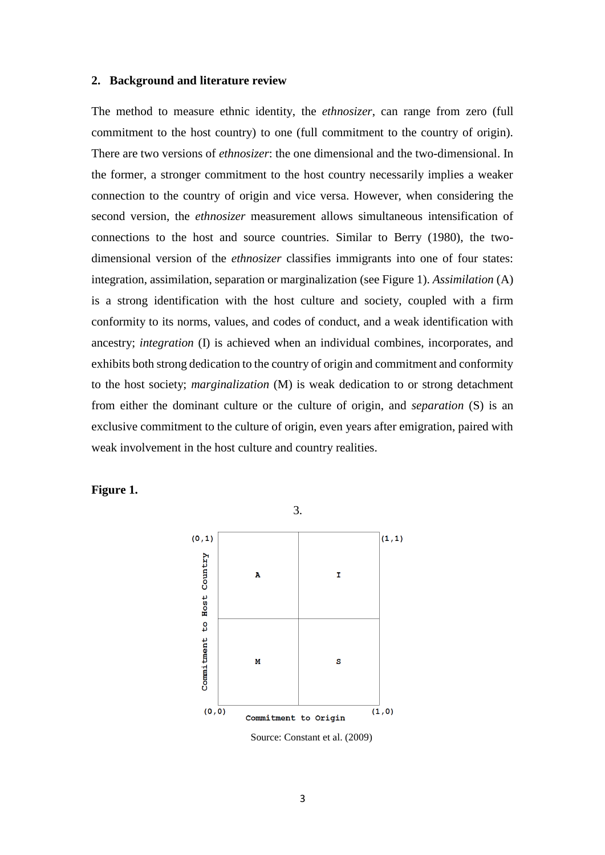#### **2. Background and literature review**

The method to measure ethnic identity, the *ethnosizer*, can range from zero (full commitment to the host country) to one (full commitment to the country of origin). There are two versions of *ethnosizer*: the one dimensional and the two-dimensional. In the former, a stronger commitment to the host country necessarily implies a weaker connection to the country of origin and vice versa. However, when considering the second version, the *ethnosizer* measurement allows simultaneous intensification of connections to the host and source countries. Similar to Berry (1980), the twodimensional version of the *ethnosizer* classifies immigrants into one of four states: integration, assimilation, separation or marginalization (see Figure 1). *Assimilation* (A) is a strong identification with the host culture and society, coupled with a firm conformity to its norms, values, and codes of conduct, and a weak identification with ancestry; *integration* (I) is achieved when an individual combines, incorporates, and exhibits both strong dedication to the country of origin and commitment and conformity to the host society; *marginalization* (M) is weak dedication to or strong detachment from either the dominant culture or the culture of origin, and *separation* (S) is an exclusive commitment to the culture of origin, even years after emigration, paired with weak involvement in the host culture and country realities.

**Figure 1.**



3.

Source: Constant et al. (2009)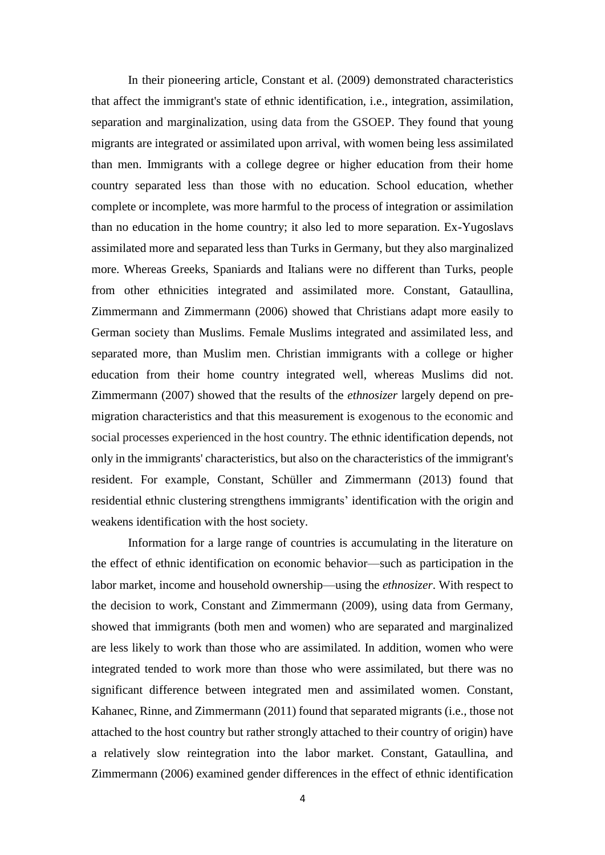In their pioneering article, Constant et al. (2009) demonstrated characteristics that affect the immigrant's state of ethnic identification, i.e., integration, assimilation, separation and marginalization, using data from the GSOEP. They found that young migrants are integrated or assimilated upon arrival, with women being less assimilated than men. Immigrants with a college degree or higher education from their home country separated less than those with no education. School education, whether complete or incomplete, was more harmful to the process of integration or assimilation than no education in the home country; it also led to more separation. Ex-Yugoslavs assimilated more and separated less than Turks in Germany, but they also marginalized more. Whereas Greeks, Spaniards and Italians were no different than Turks, people from other ethnicities integrated and assimilated more. Constant, Gataullina, Zimmermann and Zimmermann (2006) showed that Christians adapt more easily to German society than Muslims. Female Muslims integrated and assimilated less, and separated more, than Muslim men. Christian immigrants with a college or higher education from their home country integrated well, whereas Muslims did not. Zimmermann (2007) showed that the results of the *ethnosizer* largely depend on premigration characteristics and that this measurement is exogenous to the economic and social processes experienced in the host country. The ethnic identification depends, not only in the immigrants' characteristics, but also on the characteristics of the immigrant's resident. For example, Constant, Schüller and Zimmermann (2013) found that residential ethnic clustering strengthens immigrants' identification with the origin and weakens identification with the host society.

Information for a large range of countries is accumulating in the literature on the effect of ethnic identification on economic behavior—such as participation in the labor market, income and household ownership—using the *ethnosizer*. With respect to the decision to work, Constant and Zimmermann (2009), using data from Germany, showed that immigrants (both men and women) who are separated and marginalized are less likely to work than those who are assimilated. In addition, women who were integrated tended to work more than those who were assimilated, but there was no significant difference between integrated men and assimilated women. Constant, Kahanec, Rinne, and Zimmermann (2011) found that separated migrants (i.e., those not attached to the host country but rather strongly attached to their country of origin) have a relatively slow reintegration into the labor market. Constant, Gataullina, and Zimmermann (2006) examined gender differences in the effect of ethnic identification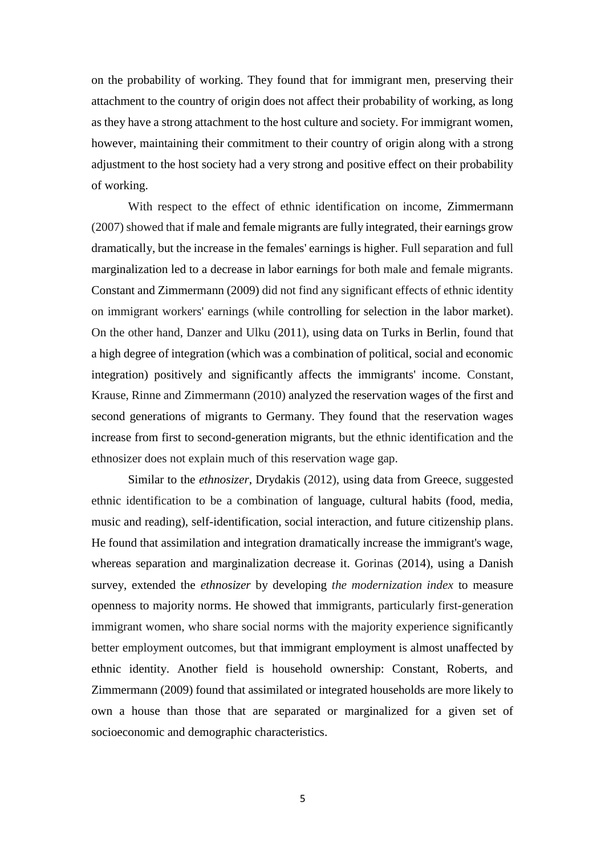on the probability of working. They found that for immigrant men, preserving their attachment to the country of origin does not affect their probability of working, as long as they have a strong attachment to the host culture and society. For immigrant women, however, maintaining their commitment to their country of origin along with a strong adjustment to the host society had a very strong and positive effect on their probability of working.

With respect to the effect of ethnic identification on income, Zimmermann (2007) showed that if male and female migrants are fully integrated, their earnings grow dramatically, but the increase in the females' earnings is higher. Full separation and full marginalization led to a decrease in labor earnings for both male and female migrants. Constant and Zimmermann (2009) did not find any significant effects of ethnic identity on immigrant workers' earnings (while controlling for selection in the labor market). On the other hand, Danzer and Ulku (2011), using data on Turks in Berlin, found that a high degree of integration (which was a combination of political, social and economic integration) positively and significantly affects the immigrants' income. Constant, Krause, Rinne and Zimmermann (2010) analyzed the reservation wages of the first and second generations of migrants to Germany. They found that the reservation wages increase from first to second-generation migrants, but the ethnic identification and the ethnosizer does not explain much of this reservation wage gap.

Similar to the *ethnosizer*, Drydakis (2012), using data from Greece, suggested ethnic identification to be a combination of language, cultural habits (food, media, music and reading), self-identification, social interaction, and future citizenship plans. He found that assimilation and integration dramatically increase the immigrant's wage, whereas separation and marginalization decrease it. Gorinas (2014), using a Danish survey, extended the *ethnosizer* by developing *the modernization index* to measure openness to majority norms. He showed that immigrants, particularly first-generation immigrant women, who share social norms with the majority experience significantly better employment outcomes, but that immigrant employment is almost unaffected by ethnic identity. Another field is household ownership: Constant, Roberts, and Zimmermann (2009) found that assimilated or integrated households are more likely to own a house than those that are separated or marginalized for a given set of socioeconomic and demographic characteristics.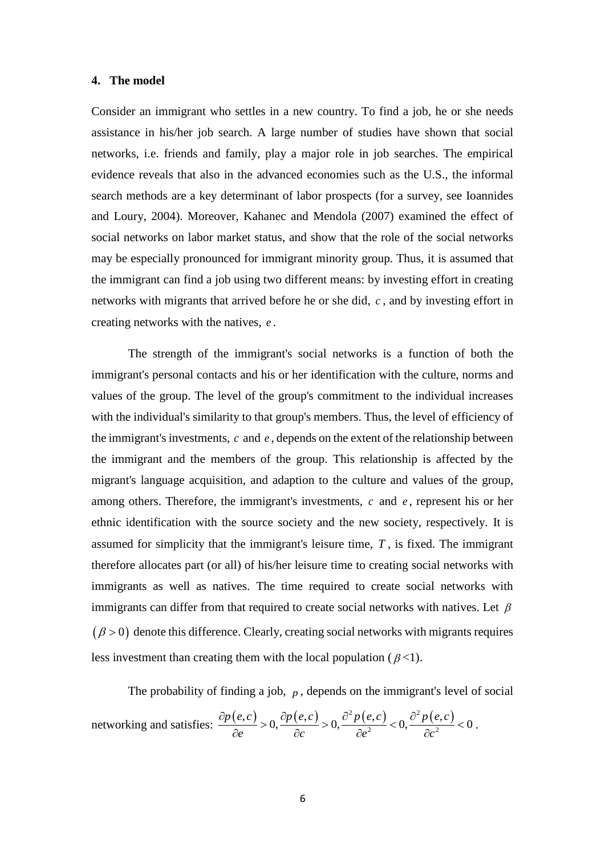#### **4. The model**

Consider an immigrant who settles in a new country. To find a job, he or she needs assistance in his/her job search. A large number of studies have shown that social networks, i.e. friends and family, play a major role in job searches. The empirical evidence reveals that also in the advanced economies such as the U.S., the informal search methods are a key determinant of labor prospects (for a survey, see Ioannides and Loury, 2004). Moreover, Kahanec and Mendola (2007) examined the effect of social networks on labor market status, and show that the role of the social networks may be especially pronounced for immigrant minority group. Thus, it is assumed that the immigrant can find a job using two different means: by investing effort in creating networks with migrants that arrived before he or she did, *c* , and by investing effort in creating networks with the natives,  $e$ . *e*

The strength of the immigrant's social networks is a function of both the immigrant's personal contacts and his or her identification with the culture, norms and values of the group. The level of the group's commitment to the individual increases with the individual's similarity to that group's members. Thus, the level of efficiency of the immigrant's investments,  $c$  and  $e$ , depends on the extent of the relationship between the immigrant and the members of the group. This relationship is affected by the migrant's language acquisition, and adaption to the culture and values of the group, among others. Therefore, the immigrant's investments,  $c$  and  $e$ , represent his or her ethnic identification with the source society and the new society, respectively. It is assumed for simplicity that the immigrant's leisure time,  $T$ , is fixed. The immigrant therefore allocates part (or all) of his/her leisure time to creating social networks with immigrants as well as natives. The time required to create social networks with immigrants can differ from that required to create social networks with natives. Let  $\beta$  $(\beta > 0)$  denote this difference. Clearly, creating social networks with migrants requires less investment than creating them with the local population ( $\beta$ <1).  $\beta$ 

The probability of finding a job, *p*, depends on the immigration's level of social  
networking and satisfies: 
$$
\frac{\partial p(e,c)}{\partial e} > 0, \frac{\partial p(e,c)}{\partial c} > 0, \frac{\partial^2 p(e,c)}{\partial e^2} < 0, \frac{\partial^2 p(e,c)}{\partial c^2} < 0.
$$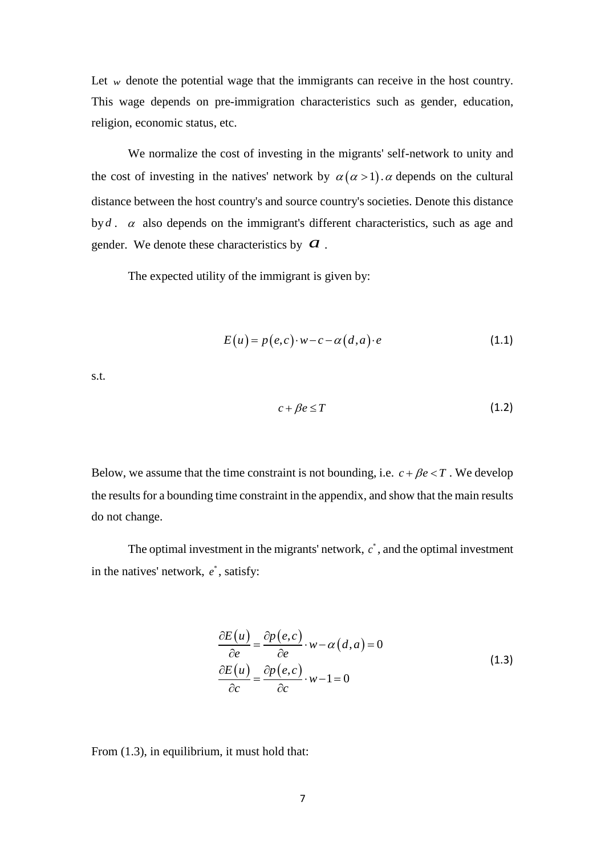Let  $w$  denote the potential wage that the immigrants can receive in the host country. This wage depends on pre-immigration characteristics such as gender, education, religion, economic status, etc.

We normalize the cost of investing in the migrants' self-network to unity and We normalize the cost of investing in the migrants' self-network to unity and<br>the cost of investing in the natives' network by  $\alpha(\alpha > 1)$ .  $\alpha$  depends on the cultural distance between the host country's and source country's societies. Denote this distance by  $d$ .  $\alpha$  also depends on the immigrant's different characteristics, such as age and gender. We denote these characteristics by  $\alpha$ . *a*

The expected utility of the immigrant is given by:

$$
E(u) = p(e, c) \cdot w - c - \alpha(d, a) \cdot e \tag{1.1}
$$

s.t.

$$
c + \beta e \le T \tag{1.2}
$$

Below, we assume that the time constraint is not bounding, i.e.  $c + \beta e < T$ . We develop the results for a bounding time constraint in the appendix, and show that the main results do not change.  $c + \beta e < T$  . We de

The optimal investment in the migrants' network,  $c^*$ , and the optimal investment in the natives' network,  $e^*$ , satisfy:

$$
\frac{\partial E(u)}{\partial e} = \frac{\partial p(e, c)}{\partial e} \cdot w - \alpha(d, a) = 0
$$
\n
$$
\frac{\partial E(u)}{\partial c} = \frac{\partial p(e, c)}{\partial c} \cdot w - 1 = 0
$$
\n(1.3)

From (1.3), in equilibrium, it must hold that: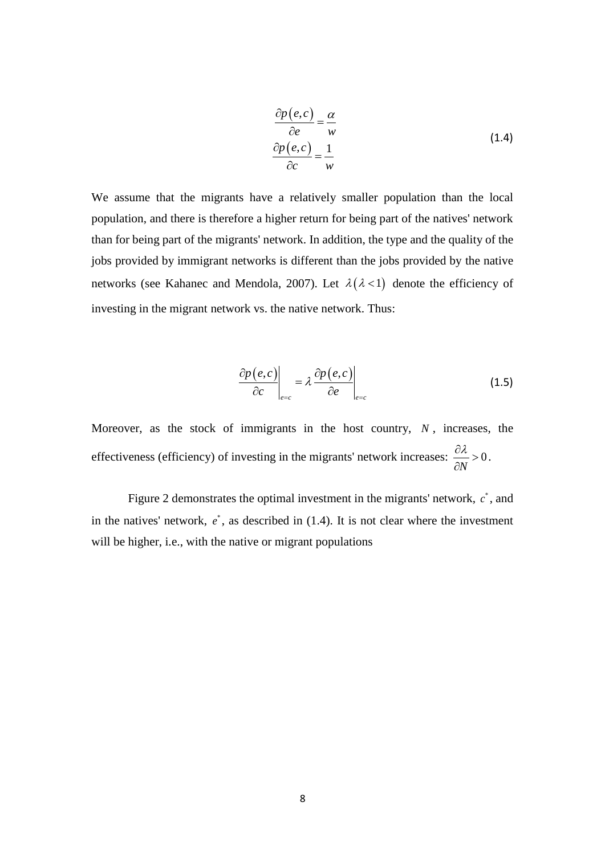$$
\frac{\partial p(e,c)}{\partial e} = \frac{\alpha}{w}
$$
\n
$$
\frac{\partial p(e,c)}{\partial c} = \frac{1}{w}
$$
\n(1.4)

We assume that the migrants have a relatively smaller population than the local population, and there is therefore a higher return for being part of the natives' network than for being part of the migrants' network. In addition, the type and the quality of the jobs provided by immigrant networks is different than the jobs provided by the native jobs provided by immigrant networks is different than the jobs provided by the native networks (see Kahanec and Mendola, 2007). Let  $\lambda(\lambda < 1)$  denote the efficiency of investing in the migrant network vs. the native network. Thus:

$$
\left. \frac{\partial p(e, c)}{\partial c} \right|_{e=c} = \lambda \left. \frac{\partial p(e, c)}{\partial e} \right|_{e=c} \tag{1.5}
$$

Moreover, as the stock of immigrants in the host country,  $N$ , increases, the effectiveness (efficiency) of investing in the migrants' network increases:  $\frac{\partial x}{\partial y} > 0$ . *N*  $\frac{\partial \lambda}{\partial x} > 0$ .  $\partial N$ 

Figure 2 demonstrates the optimal investment in the migrants' network,  $c^*$ , and in the natives' network,  $e^*$ , as described in  $(1.4)$ . It is not clear where the investment will be higher, i.e., with the native or migrant populations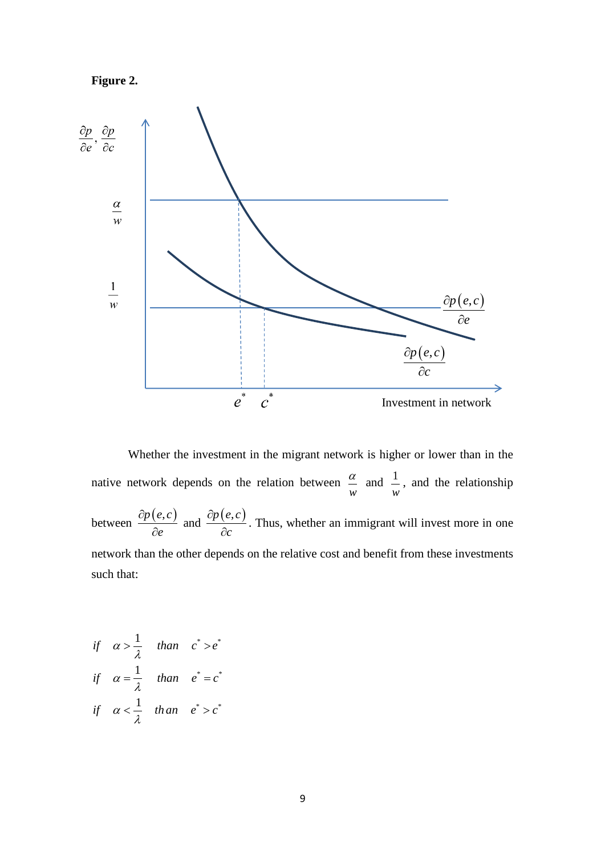



Whether the investment in the migrant network is higher or lower than in the native network depends on the relation between  $\frac{u}{m}$  and  $\frac{1}{m}$ , and the relationship between  $\frac{\partial p(e, c)}{\partial q}$  and  $\frac{\partial p(e, c)}{\partial q}$ . Thus, whether an immigrant will invest more in one network than the other depends on the relative cost and benefit from these investments such that: *w*  $\alpha$  and  $1$  and the *w e*  $\partial p(e,c)$  $\partial e$  $\frac{p(e, c)}{p(e, c)}$ . Thus *c*  $\partial p(e,c$  $\partial c$   $\vdots$ 

$$
\begin{aligned}\n\text{if} \quad & \alpha > \frac{1}{\lambda} \quad \text{than} \quad c^* > e^* \\
\text{if} \quad & \alpha = \frac{1}{\lambda} \quad \text{than} \quad e^* = c^* \\
\text{if} \quad & \alpha < \frac{1}{\lambda} \quad \text{than} \quad e^* > c^* \\
\end{aligned}
$$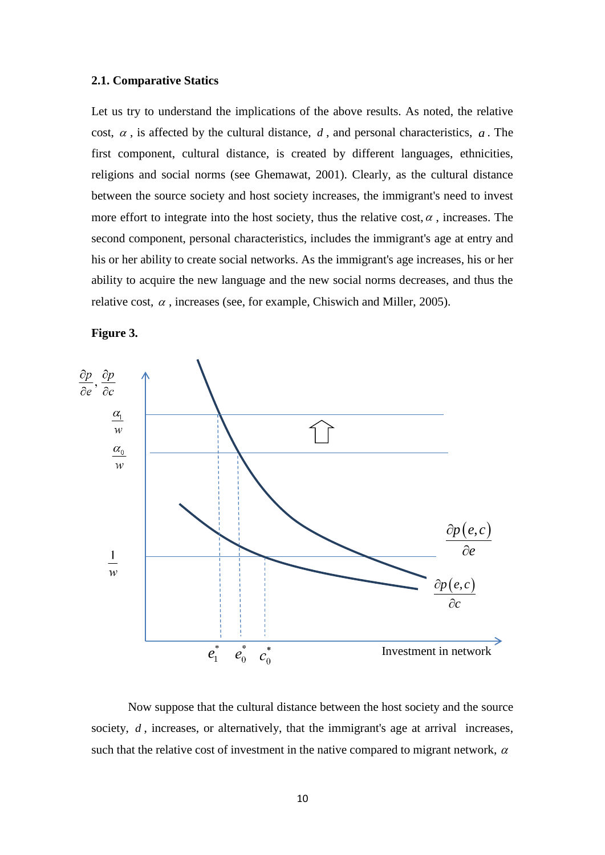#### **2.1. Comparative Statics**

Let us try to understand the implications of the above results. As noted, the relative cost,  $\alpha$ , is affected by the cultural distance,  $d$ , and personal characteristics,  $a$ . The first component, cultural distance, is created by different languages, ethnicities, religions and social norms (see Ghemawat, 2001). Clearly, as the cultural distance between the source society and host society increases, the immigrant's need to invest more effort to integrate into the host society, thus the relative cost,  $\alpha$ , increases. The second component, personal characteristics, includes the immigrant's age at entry and his or her ability to create social networks. As the immigrant's age increases, his or her ability to acquire the new language and the new social norms decreases, and thus the relative cost,  $\alpha$ , increases (see, for example, Chiswich and Miller, 2005).

**Figure 3.**



Now suppose that the cultural distance between the host society and the source society,  $d$ , increases, or alternatively, that the immigrant's age at arrival increases, such that the relative cost of investment in the native compared to migrant network,  $\alpha$  $\alpha$  and  $\alpha$  and  $\alpha$  and  $\alpha$  and  $\alpha$  and  $\alpha$  and  $\alpha$  and  $\alpha$  and  $\alpha$  and  $\alpha$  and  $\alpha$  and  $\alpha$  and  $\alpha$  and  $\alpha$  and  $\alpha$  and  $\alpha$  and  $\alpha$  and  $\alpha$  and  $\alpha$  and  $\alpha$  and  $\alpha$  and  $\alpha$  and  $\alpha$  and  $\alpha$  and  $\alpha$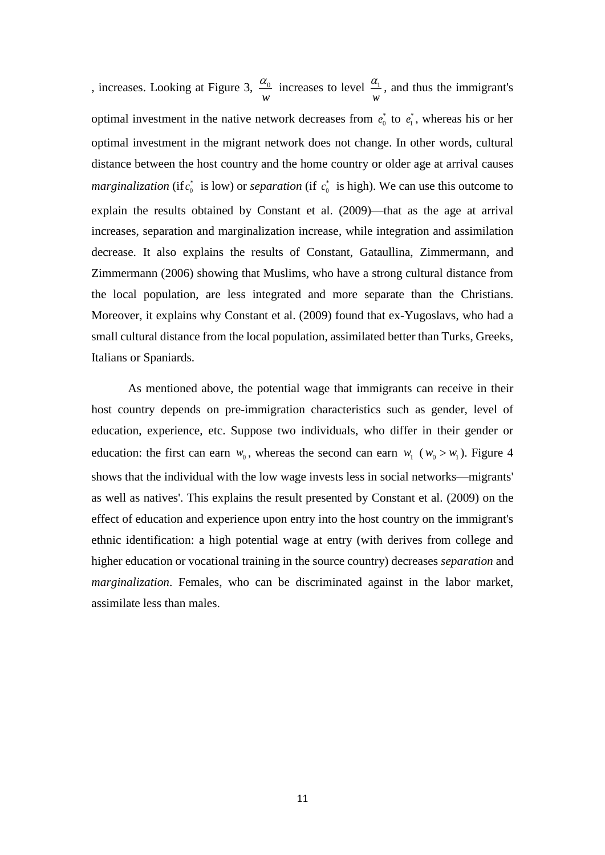, increases. Looking at Figure 3,  $\frac{\mu_0}{\sigma}$  increases to level  $\frac{\mu_1}{\sigma}$ , and thus the immigrant's optimal investment in the native network decreases from  $e_0^*$  to  $e_1^*$ , whereas his or her optimal investment in the migrant network does not change. In other words, cultural distance between the host country and the home country or older age at arrival causes *marginalization* (if  $c_0^*$  is low) or *separation* (if  $c_0^*$  is high). We can use this outcome to explain the results obtained by Constant et al. (2009)—that as the age at arrival increases, separation and marginalization increase, while integration and assimilation decrease. It also explains the results of Constant, Gataullina, Zimmermann, and Zimmermann (2006) showing that Muslims, who have a strong cultural distance from the local population, are less integrated and more separate than the Christians. Moreover, it explains why Constant et al. (2009) found that ex-Yugoslavs, who had a small cultural distance from the local population, assimilated better than Turks, Greeks, Italians or Spaniards. *w*  $\alpha_0$  increases to level  $\alpha_1$  and *w*  $\alpha$ ,  $\alpha$ 

As mentioned above, the potential wage that immigrants can receive in their host country depends on pre-immigration characteristics such as gender, level of education, experience, etc. Suppose two individuals, who differ in their gender or education: the first can earn  $w_0$ , whereas the second can earn  $w_1$  ( $w_0 > w_1$ ). Figure 4 shows that the individual with the low wage invests less in social networks—migrants' as well as natives'. This explains the result presented by Constant et al. (2009) on the effect of education and experience upon entry into the host country on the immigrant's ethnic identification: a high potential wage at entry (with derives from college and higher education or vocational training in the source country) decreases *separation* and *marginalization*. Females, who can be discriminated against in the labor market, assimilate less than males.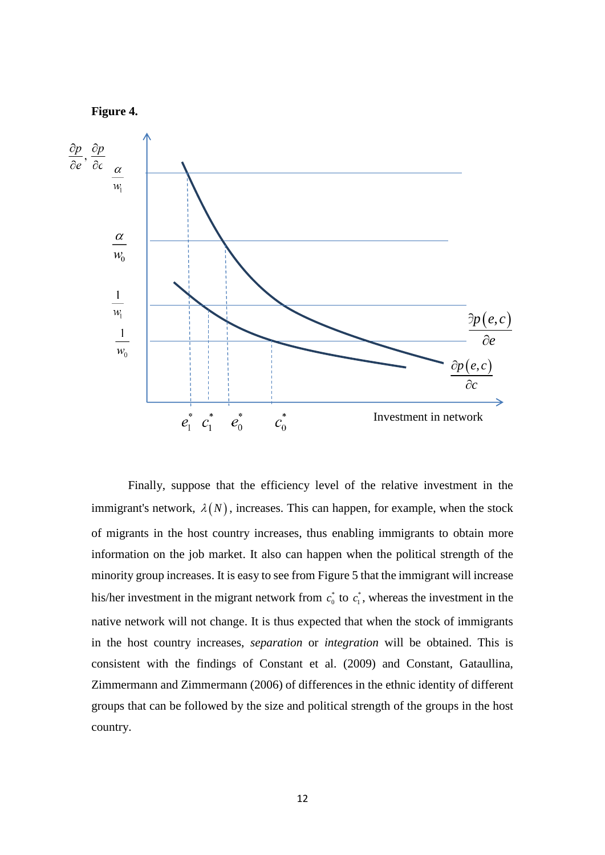

Finally, suppose that the efficiency level of the relative investment in the immigrant's network,  $\lambda(N)$ , increases. This can happen, for example, when the stock of migrants in the host country increases, thus enabling immigrants to obtain more information on the job market. It also can happen when the political strength of the minority group increases. It is easy to see from Figure 5 that the immigrant will increase his/her investment in the migrant network from  $c_0^*$  to  $c_1^*$ , whereas the investment in the native network will not change. It is thus expected that when the stock of immigrants in the host country increases, *separation* or *integration* will be obtained. This is consistent with the findings of Constant et al. (2009) and Constant, Gataullina, Zimmermann and Zimmermann (2006) of differences in the ethnic identity of different groups that can be followed by the size and political strength of the groups in the host country.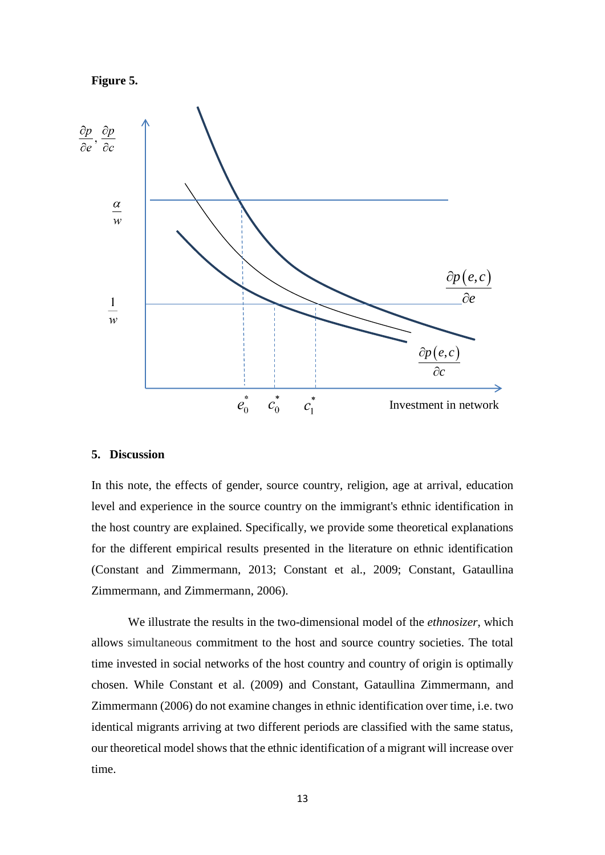



#### **5. Discussion**

In this note, the effects of gender, source country, religion, age at arrival, education level and experience in the source country on the immigrant's ethnic identification in the host country are explained. Specifically, we provide some theoretical explanations for the different empirical results presented in the literature on ethnic identification (Constant and Zimmermann, 2013; Constant et al., 2009; Constant, Gataullina Zimmermann, and Zimmermann, 2006).

We illustrate the results in the two-dimensional model of the *ethnosizer*, which allows simultaneous commitment to the host and source country societies. The total time invested in social networks of the host country and country of origin is optimally chosen. While Constant et al. (2009) and Constant, Gataullina Zimmermann, and Zimmermann (2006) do not examine changes in ethnic identification over time, i.e. two identical migrants arriving at two different periods are classified with the same status, our theoretical model shows that the ethnic identification of a migrant will increase over time.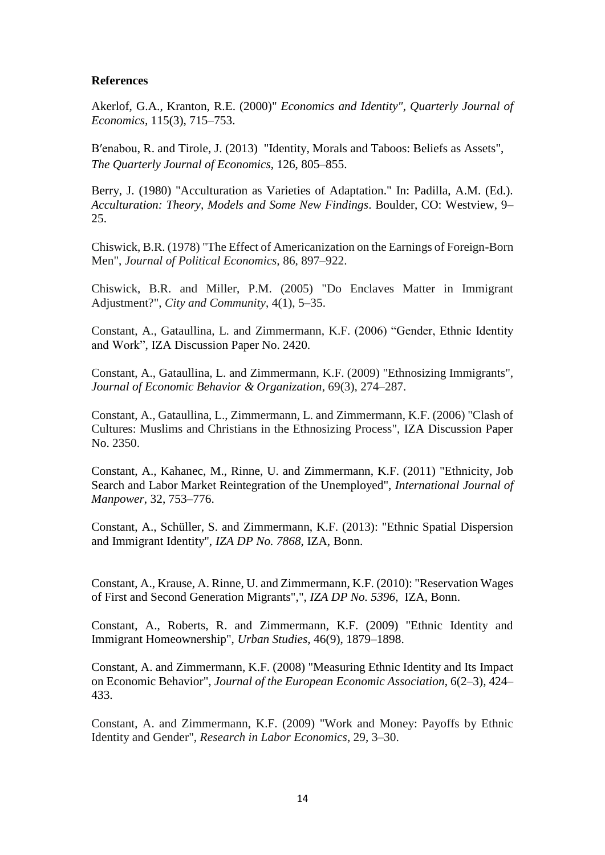#### **References**

Akerlof, G.A., Kranton, R.E. (2000)" *Economics and Identity"*, *Quarterly Journal of Economics,* 115(3), 715–753.

B′enabou, R. and Tirole, J. (2013) "Identity, Morals and Taboos: Beliefs as Assets", *The Quarterly Journal of Economics*, 126, 805–855.

Berry, J. (1980) "Acculturation as Varieties of Adaptation." In: Padilla, A.M. (Ed.). *Acculturation: Theory, Models and Some New Findings*. Boulder, CO: Westview, 9– 25.

Chiswick, B.R. (1978) "The Effect of Americanization on the Earnings of Foreign-Born Men", *Journal of Political Economics,* 86, 897–922.

Chiswick, B.R. and Miller, P.M. (2005) "Do Enclaves Matter in Immigrant Adjustment?", *City and Community*, 4(1), 5–35.

Constant, A., Gataullina, L. and Zimmermann, K.F. (2006) "Gender, Ethnic Identity and Work", IZA Discussion Paper No. 2420.

Constant, A., Gataullina, L. and Zimmermann, K.F. (2009) "Ethnosizing Immigrants", *Journal of Economic Behavior & Organization*, 69(3), 274–287.

Constant, A., Gataullina, L., Zimmermann, L. and Zimmermann, K.F. (2006) "Clash of Cultures: Muslims and Christians in the Ethnosizing Process", IZA Discussion Paper No. 2350.

Constant, A., Kahanec, M., Rinne, U. and Zimmermann, K.F. (2011) "Ethnicity, Job Search and Labor Market Reintegration of the Unemployed", *International Journal of Manpower*, 32, 753–776.

Constant, A., Schüller, S. and Zimmermann, K.F. (2013): "Ethnic Spatial Dispersion and Immigrant Identity", *IZA DP No. 7868*, IZA, Bonn.

Constant, A., Krause, A. Rinne, U. and Zimmermann, K.F. (2010): "Reservation Wages of First and Second Generation Migrants",", *IZA DP No. 5396*, IZA, Bonn.

Constant, A., Roberts, R. and Zimmermann, K.F. (2009) "Ethnic Identity and Immigrant Homeownership", *Urban Studies*, 46(9), 1879–1898.

Constant, A. and Zimmermann, K.F. (2008) "Measuring Ethnic Identity and Its Impact on Economic Behavior", *Journal of the European Economic Association*, 6(2–3), 424– 433.

Constant, A. and Zimmermann, K.F. (2009) "Work and Money: Payoffs by Ethnic Identity and Gender", *Research in Labor Economics*, 29, 3–30.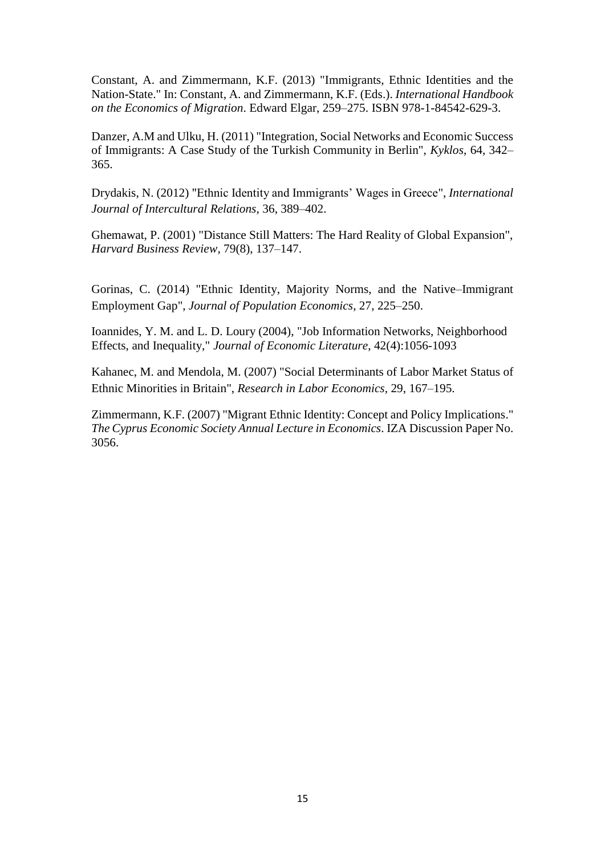Constant, A. and Zimmermann, K.F. (2013) "Immigrants, Ethnic Identities and the Nation-State." In: Constant, A. and Zimmermann, K.F. (Eds.). *International Handbook on the Economics of Migration*. Edward Elgar, 259–275. ISBN 978-1-84542-629-3.

Danzer, A.M and Ulku, H. (2011) "Integration, Social Networks and Economic Success of Immigrants: A Case Study of the Turkish Community in Berlin", *Kyklos*, 64, 342– 365.

Drydakis, N. (2012) "Ethnic Identity and Immigrants' Wages in Greece", *International Journal of Intercultural Relations*, 36, 389–402.

Ghemawat, P. (2001) "Distance Still Matters: The Hard Reality of Global Expansion", *Harvard Business Review*, 79(8), 137–147.

Gorinas, C. (2014) ["Ethnic Identity, Majority Norms, and the Native–Immigrant](http://link.springer.com/article/10.1007/s00148-012-0463-3)  [Employment Gap"](http://link.springer.com/article/10.1007/s00148-012-0463-3), *Journal of Population Economics*, 27, 225–250.

Ioannides, Y. M. and L. D. Loury (2004), "Job Information Networks, Neighborhood Effects, and Inequality," *Journal of Economic Literature*, 42(4):1056-1093

Kahanec, M. and Mendola, M. (2007) "Social Determinants of Labor Market Status of Ethnic Minorities in Britain", *Research in Labor Economics,* 29, 167–195.

Zimmermann, K.F. (2007) "Migrant Ethnic Identity: Concept and Policy Implications." *The Cyprus Economic Society Annual Lecture in Economics*. IZA Discussion Paper No. 3056.